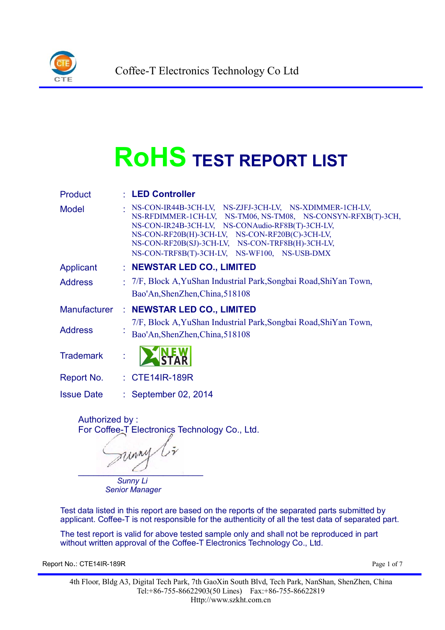

# **RoHS TEST REPORT LIST**

| <b>Product</b>      | : LED Controller                                                                                                                                                                                                                                                                                                                   |  |  |  |  |
|---------------------|------------------------------------------------------------------------------------------------------------------------------------------------------------------------------------------------------------------------------------------------------------------------------------------------------------------------------------|--|--|--|--|
| <b>Model</b>        | NS-CON-IR44B-3CH-LV, NS-ZJFJ-3CH-LV, NS-XDIMMER-1CH-LV,<br>NS-RFDIMMER-1CH-LV, NS-TM06, NS-TM08, NS-CONSYN-RFXB(T)-3CH,<br>NS-CON-IR24B-3CH-LV, NS-CONAudio-RF8B(T)-3CH-LV,<br>NS-CON-RF20B(H)-3CH-LV, NS-CON-RF20B(C)-3CH-LV,<br>NS-CON-RF20B(SJ)-3CH-LV, NS-CON-TRF8B(H)-3CH-LV,<br>NS-CON-TRF8B(T)-3CH-LV, NS-WF100, NS-USB-DMX |  |  |  |  |
| Applicant           | : NEWSTAR LED CO., LIMITED                                                                                                                                                                                                                                                                                                         |  |  |  |  |
| <b>Address</b>      | : 7/F, Block A, YuShan Industrial Park, Songbai Road, ShiYan Town,<br>Bao'An, ShenZhen, China, 518108                                                                                                                                                                                                                              |  |  |  |  |
| <b>Manufacturer</b> | : NEWSTAR LED CO., LIMITED                                                                                                                                                                                                                                                                                                         |  |  |  |  |
| <b>Address</b>      | 7/F, Block A, YuShan Industrial Park, Songbai Road, ShiYan Town,<br>Bao'An, ShenZhen, China, 518108                                                                                                                                                                                                                                |  |  |  |  |
| <b>Trademark</b>    |                                                                                                                                                                                                                                                                                                                                    |  |  |  |  |
| Report No.          | : CTE14IR-189R                                                                                                                                                                                                                                                                                                                     |  |  |  |  |
| <b>Issue Date</b>   | : September 02, 2014                                                                                                                                                                                                                                                                                                               |  |  |  |  |

Authorized by : For Coffee-T Electronics Technology Co., Ltd.

sunny  $\overline{\phantom{a}}$ *Sunny Li*

*Senior Manager*

Test data listed in this report are based on the reports of the separated parts submitted by applicant. Coffee-T is not responsible for the authenticity of all the test data of separated part.

The test report is valid for above tested sample only and shall not be reproduced in part without written approval of the Coffee-T Electronics Technology Co., Ltd.

Report No.: CTE14IR-189R Page 1 of 7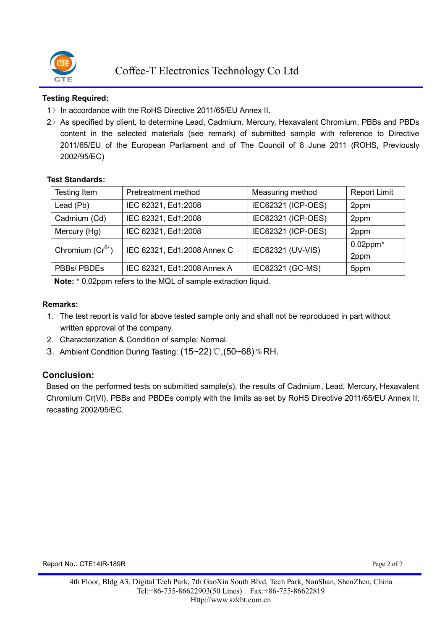

#### **Testing Required:**

- 1) In accordance with the RoHS Directive 2011/65/EU Annex II.
- 2)As specified by client, to determine Lead, Cadmium, Mercury, Hexavalent Chromium, PBBs and PBDs content in the selected materials (see remark) of submitted sample with reference to Directive 2011/65/EU of the European Parliament and of The Council of 8 June 2011 (ROHS, Previously 2002/95/EC)

#### **Test Standards:**

| Testing Item         | Pretreatment method         | Measuring method   | <b>Report Limit</b>    |
|----------------------|-----------------------------|--------------------|------------------------|
| Lead (Pb)            | IEC 62321, Ed1:2008         | IEC62321 (ICP-OES) | 2ppm                   |
| Cadmium (Cd)         | IEC 62321, Ed1:2008         | IEC62321 (ICP-OES) |                        |
| Mercury (Hg)         | IEC 62321, Ed1:2008         | IEC62321 (ICP-OES) | 2ppm                   |
| Chromium $(Cr^{6+})$ | IEC 62321, Ed1:2008 Annex C | IEC62321 (UV-VIS)  | $0.02$ ppm $*$<br>2ppm |
| PBBs/ PBDEs          | IEC 62321, Ed1:2008 Annex A | IEC62321 (GC-MS)   | 5ppm                   |

**Note:** \* 0.02ppm refers to the MQL of sample extraction liquid.

#### **Remarks:**

- 1. The test report is valid for above tested sample only and shall not be reproduced in part without written approval of the company.
- 2. Characterization & Condition of sample: Normal.
- 3. Ambient Condition During Testing: (15~22)℃,(50~68) % RH.

#### **Conclusion:**

Based on the performed tests on submitted sample(s), the results of Cadmium, Lead, Mercury, Hexavalent Chromium Cr(VI), PBBs and PBDEs comply with the limits as set by RoHS Directive 2011/65/EU Annex II; recasting 2002/95/EC.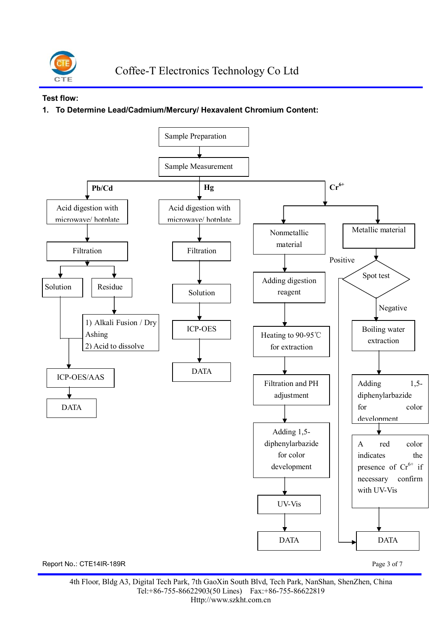

#### **Test flow:**

#### **1. To Determine Lead/Cadmium/Mercury/ Hexavalent Chromium Content:**

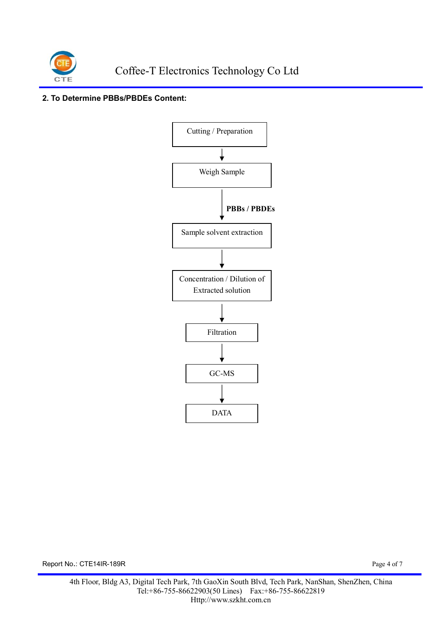

#### **2. To Determine PBBs/PBDEs Content:**



Report No.: CTE14IR-189R Page 4 of 7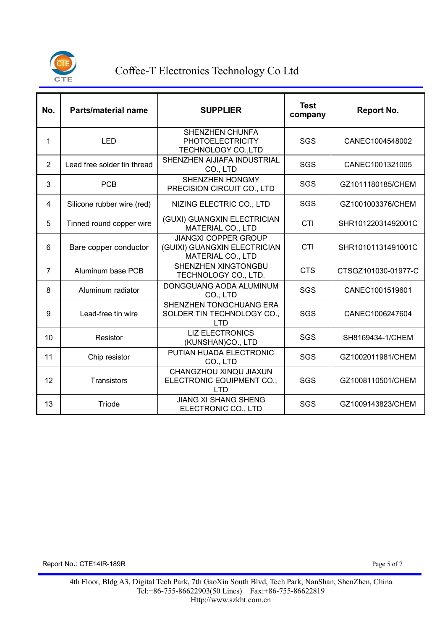

## Coffee-T Electronics Technology Co Ltd

|                |                             |                                                                                  | <b>Test</b> | <b>Report No.</b>   |  |
|----------------|-----------------------------|----------------------------------------------------------------------------------|-------------|---------------------|--|
| No.            | <b>Parts/material name</b>  | <b>SUPPLIER</b>                                                                  | company     |                     |  |
| 1              | <b>LED</b>                  | <b>SHENZHEN CHUNFA</b><br><b>PHOTOELECTRICITY</b><br>TECHNOLOGY CO., LTD         | SGS         | CANEC1004548002     |  |
| $\overline{2}$ | Lead free solder tin thread | SHENZHEN AIJIAFA INDUSTRIAL<br>CO., LTD                                          | SGS         | CANEC1001321005     |  |
| 3              | <b>PCB</b>                  | SHENZHEN HONGMY<br>PRECISION CIRCUIT CO., LTD                                    | SGS         | GZ1011180185/CHEM   |  |
| 4              | Silicone rubber wire (red)  | NIZING ELECTRIC CO., LTD                                                         | SGS         | GZ1001003376/CHEM   |  |
| 5              | Tinned round copper wire    | (GUXI) GUANGXIN ELECTRICIAN<br><b>MATERIAL CO., LTD</b>                          | <b>CTI</b>  | SHR10122031492001C  |  |
| 6              | Bare copper conductor       | <b>JIANGXI COPPER GROUP</b><br>(GUIXI) GUANGXIN ELECTRICIAN<br>MATERIAL CO., LTD | <b>CTI</b>  | SHR10101131491001C  |  |
| $\overline{7}$ | Aluminum base PCB           | SHENZHEN XINGTONGBU<br>TECHNOLOGY CO., LTD.                                      | <b>CTS</b>  | CTSGZ101030-01977-C |  |
| 8              | Aluminum radiator           | DONGGUANG AODA ALUMINUM<br>CO., LTD                                              | SGS         | CANEC1001519601     |  |
| 9              | Lead-free tin wire          | SHENZHEN TONGCHUANG ERA<br>SOLDER TIN TECHNOLOGY CO.,<br><b>LTD</b>              | SGS         | CANEC1006247604     |  |
| 10             | Resistor                    | <b>LIZ ELECTRONICS</b><br>(KUNSHAN)CO., LTD                                      | SGS         | SH8169434-1/CHEM    |  |
| 11             | Chip resistor               | PUTIAN HUADA ELECTRONIC<br>CO., LTD                                              | SGS         | GZ1002011981/CHEM   |  |
| 12             | Transistors                 | CHANGZHOU XINQU JIAXUN<br>ELECTRONIC EQUIPMENT CO.,<br><b>LTD</b>                | SGS         | GZ1008110501/CHEM   |  |
| 13             | Triode                      | <b>JIANG XI SHANG SHENG</b><br>ELECTRONIC CO., LTD                               | SGS         | GZ1009143823/CHEM   |  |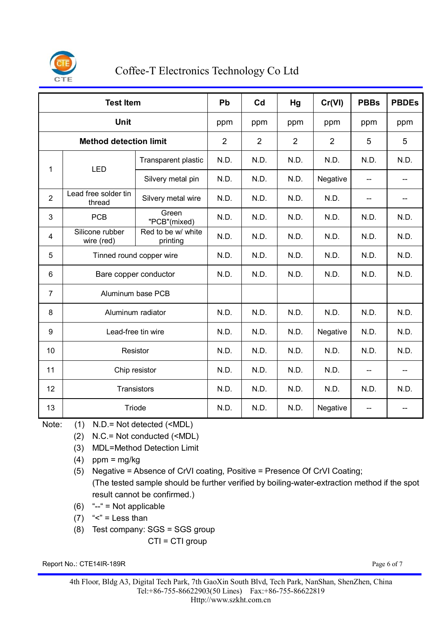

## Coffee-T Electronics Technology Co Ltd

| <b>Test Item</b>              |                                |                                | Pb             | Cd             | Hg             | Cr(VI)         | <b>PBBs</b>              | <b>PBDEs</b>             |
|-------------------------------|--------------------------------|--------------------------------|----------------|----------------|----------------|----------------|--------------------------|--------------------------|
| <b>Unit</b>                   |                                |                                | ppm            | ppm            | ppm            | ppm            | ppm                      | ppm                      |
| <b>Method detection limit</b> |                                |                                | $\overline{2}$ | $\overline{2}$ | $\overline{2}$ | $\overline{2}$ | 5                        | 5                        |
| 1                             | <b>LED</b>                     | Transparent plastic            | N.D.           | N.D.           | N.D.           | N.D.           | N.D.                     | N.D.                     |
|                               |                                | Silvery metal pin              | N.D.           | N.D.           | N.D.           | Negative       | $\overline{\phantom{a}}$ | $-$                      |
| $\overline{2}$                | Lead free solder tin<br>thread | Silvery metal wire             | N.D.           | N.D.           | N.D.           | N.D.           |                          |                          |
| 3                             | <b>PCB</b>                     | Green<br>"PCB"(mixed)          | N.D.           | N.D.           | N.D.           | N.D.           | N.D.                     | N.D.                     |
| 4                             | Silicone rubber<br>wire (red)  | Red to be w/ white<br>printing | N.D.           | N.D.           | N.D.           | N.D.           | N.D.                     | N.D.                     |
| 5                             | Tinned round copper wire       |                                | N.D.           | N.D.           | N.D.           | N.D.           | N.D.                     | N.D.                     |
| 6                             | Bare copper conductor          |                                | N.D.           | N.D.           | N.D.           | N.D.           | N.D.                     | N.D.                     |
| $\overline{7}$                | Aluminum base PCB              |                                |                |                |                |                |                          |                          |
| 8                             | Aluminum radiator              |                                | N.D.           | N.D.           | N.D.           | N.D.           | N.D.                     | N.D.                     |
| 9                             | Lead-free tin wire             |                                | N.D.           | N.D.           | N.D.           | Negative       | N.D.                     | N.D.                     |
| 10                            | Resistor                       |                                | N.D.           | N.D.           | N.D.           | N.D.           | N.D.                     | N.D.                     |
| 11                            | Chip resistor                  |                                | N.D.           | N.D.           | N.D.           | N.D.           | --                       | $\overline{\phantom{a}}$ |
| 12                            | Transistors                    |                                | N.D.           | N.D.           | N.D.           | N.D.           | N.D.                     | N.D.                     |
| 13                            | Triode                         |                                | N.D.           | N.D.           | N.D.           | Negative       | --                       |                          |

Note: (1) N.D.= Not detected (<MDL)

- (2) N.C.= Not conducted (<MDL)
- (3) MDL=Method Detection Limit
- $(4)$  ppm = mg/kg
- (5) Negative = Absence of CrVI coating, Positive = Presence Of CrVI Coating; (The tested sample should be further verified by boiling-water-extraction method if the spot result cannot be confirmed.)
- $(6)$  " $-$ " = Not applicable
- (7)  $\textdegree$  = Less than
- (8) Test company: SGS = SGS group

CTI = CTI group

Report No.: CTE14IR-189R Page 6 of 7